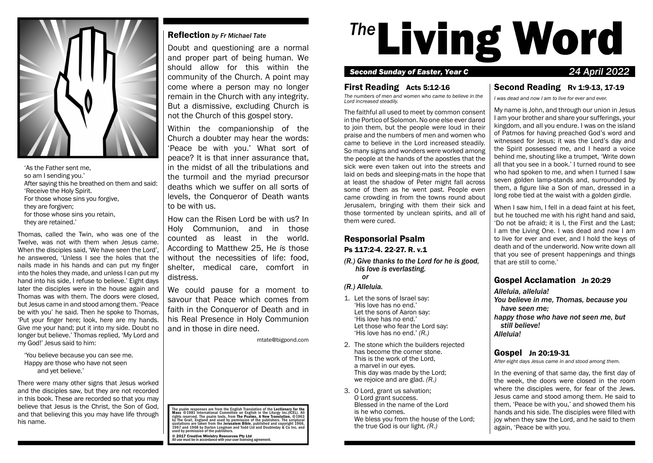

'As the Father sent me, so am I sending you.' After saying this he breathed on them and said: 'Receive the Holy Spirit. For those whose sins you forgive, they are forgiven; for those whose sins you retain, they are retained.'

Thomas, called the Twin, who was one of the Twelve, was not with them when Jesus came. When the disciples said, 'We have seen the Lord', he answered, 'Unless I see the holes that the nails made in his hands and can put my finger into the holes they made, and unless I can put my hand into his side, I refuse to believe.' Eight days later the disciples were in the house again and Thomas was with them. The doors were closed, but Jesus came in and stood among them. 'Peace be with you' he said. Then he spoke to Thomas, 'Put your finger here; look, here are my hands. Give me your hand; put it into my side. Doubt no longer but believe.' Thomas replied, 'My Lord and my God!' Jesus said to him:

#### 'You believe because you can see me. Happy are those who have not seen and yet believe.'

There were many other signs that Jesus worked and the disciples saw, but they are not recorded in this book. These are recorded so that you may believe that Jesus is the Christ, the Son of God, and that believing this you may have life through his name.

# Reflection *by Fr Michael Tate*

Doubt and questioning are a normal and proper part of being human. We should allow for this within the community of the Church. A point may come where a person may no longer remain in the Church with any integrity. But a dismissive, excluding Church is not the Church of this gospel story.

Within the companionship of the Church a doubter may hear the words: 'Peace be with you.' What sort of peace? It is that inner assurance that, in the midst of all the tribulations and the turmoil and the myriad precursor deaths which we suffer on all sorts of levels, the Conqueror of Death wants to be with us.

How can the Risen Lord be with us? In Holy Communion, and in those counted as least in the world. According to Matthew 25, He *is* those without the necessities of life: food, shelter, medical care, comfort in distress.

We could pause for a moment to savour that Peace which comes from faith in the Conqueror of Death and in his Real Presence in Holy Communion and in those in dire need.

mtate@bigpond.com

The psalm responses are from the English Translation of the Lectionary for the<br>Mass ©1981 International Committee on English in the Liturgy Inc.(ICEL). All rights reserved. The psalm texts, from The Psalms, A New Translation, ©1963<br>by The Grail, England and used by permission of the publishers. The scriptural<br>quotations are taken from the Jerusalem Bible, published and copyri

© 2017 Creative Ministry Resources Pty Ltd All use must be in accordance with your user licensing agreement.

# <sup>The</sup>Living Word

#### *Second Sunday of Easter, Year C 24 April 2022*

#### First Reading Acts 5:12-16

*The numbers of men and women who came to believe in the Lord increased steadily.*

The faithful all used to meet by common consent in the Portico of Solomon. No one else ever dared to join them, but the people were loud in their praise and the numbers of men and women who came to believe in the Lord increased steadily. So many signs and wonders were worked among the people at the hands of the apostles that the sick were even taken out into the streets and laid on beds and sleeping-mats in the hope that at least the shadow of Peter might fall across some of them as he went past. People even came crowding in from the towns round about Jerusalem, bringing with them their sick and those tormented by unclean spirits, and all of them were cured.

# Responsorial Psalm Ps 117:2-4. 22-27. R. v.1

*(R.) Give thanks to the Lord for he is good, his love is everlasting. or*

#### *(R.) Alleluia.*

- 1. Let the sons of Israel say: 'His love has no end.' Let the sons of Aaron say: 'His love has no end.' Let those who fear the Lord say: 'His love has no end.' *(R.)*
- 2. The stone which the builders rejected has become the corner stone. This is the work of the Lord, a marvel in our eyes. This day was made by the Lord; we rejoice and are glad. *(R.)*
- 3. O Lord, grant us salvation; O Lord grant success. Blessed in the name of the Lord is he who comes. We bless you from the house of the Lord: the true God is our light*. (R.)*

# Second Reading Rv 1:9-13, 17-19

*I was dead and now I am to live for ever and ever.*

My name is John, and through our union in Jesus I am your brother and share your sufferings, your kingdom, and all you endure. I was on the island of Patmos for having preached God's word and witnessed for Jesus; it was the Lord's day and the Spirit possessed me, and I heard a voice behind me, shouting like a trumpet, 'Write down all that you see in a book.' I turned round to see who had spoken to me, and when I turned I saw seven golden lamp-stands and, surrounded by them, a figure like a Son of man, dressed in a long robe tied at the waist with a golden girdle.

When I saw him, I fell in a dead faint at his feet, but he touched me with his right hand and said, 'Do not be afraid; it is I, the First and the Last; I am the Living One. I was dead and now I am to live for ever and ever, and I hold the keys of death and of the underworld. Now write down all that you see of present happenings and things that are still to come.'

## Gospel Acclamation Jn 20:29

*Alleluia, alleluia!*

*You believe in me, Thomas, because you have seen me;*

*happy those who have not seen me, but still believe! Alleluia!*

## Gospel Jn 20:19-31

*After eight days Jesus came in and stood among them.*

In the evening of that same day, the first day of the week, the doors were closed in the room where the disciples were, for fear of the Jews. Jesus came and stood among them. He said to them, 'Peace be with you,' and showed them his hands and his side. The disciples were filled with joy when they saw the Lord, and he said to them again, 'Peace be with you.